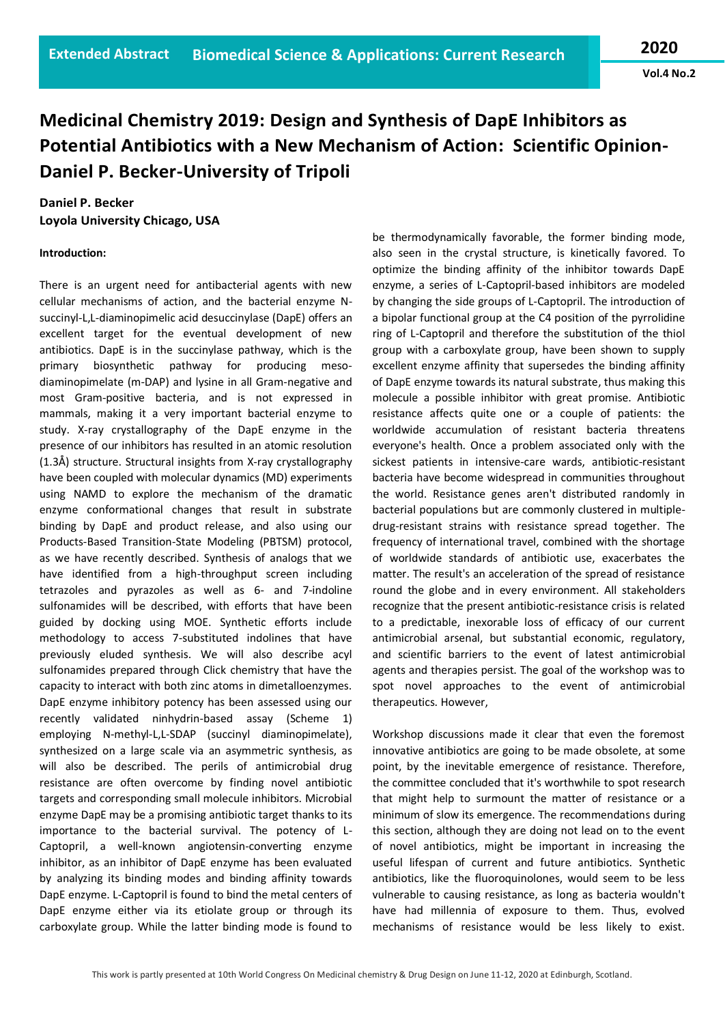**Vol.4 No.2**

## **Medicinal Chemistry 2019: Design and Synthesis of DapE Inhibitors as Potential Antibiotics with a New Mechanism of Action: Scientific Opinion-Daniel P. Becker-University of Tripoli**

## **Daniel P. Becker Loyola University Chicago, USA**

## **Introduction:**

There is an urgent need for antibacterial agents with new cellular mechanisms of action, and the bacterial enzyme Nsuccinyl-L,L-diaminopimelic acid desuccinylase (DapE) offers an excellent target for the eventual development of new antibiotics. DapE is in the succinylase pathway, which is the primary biosynthetic pathway for producing mesodiaminopimelate (m-DAP) and lysine in all Gram-negative and most Gram-positive bacteria, and is not expressed in mammals, making it a very important bacterial enzyme to study. X-ray crystallography of the DapE enzyme in the presence of our inhibitors has resulted in an atomic resolution (1.3Å) structure. Structural insights from X-ray crystallography have been coupled with molecular dynamics (MD) experiments using NAMD to explore the mechanism of the dramatic enzyme conformational changes that result in substrate binding by DapE and product release, and also using our Products-Based Transition-State Modeling (PBTSM) protocol, as we have recently described. Synthesis of analogs that we have identified from a high-throughput screen including tetrazoles and pyrazoles as well as 6- and 7-indoline sulfonamides will be described, with efforts that have been guided by docking using MOE. Synthetic efforts include methodology to access 7-substituted indolines that have previously eluded synthesis. We will also describe acyl sulfonamides prepared through Click chemistry that have the capacity to interact with both zinc atoms in dimetalloenzymes. DapE enzyme inhibitory potency has been assessed using our recently validated ninhydrin-based assay (Scheme 1) employing N-methyl-L,L-SDAP (succinyl diaminopimelate), synthesized on a large scale via an asymmetric synthesis, as will also be described. The perils of antimicrobial drug resistance are often overcome by finding novel antibiotic targets and corresponding small molecule inhibitors. Microbial enzyme DapE may be a promising antibiotic target thanks to its importance to the bacterial survival. The potency of L-Captopril, a well-known angiotensin-converting enzyme inhibitor, as an inhibitor of DapE enzyme has been evaluated by analyzing its binding modes and binding affinity towards DapE enzyme. L-Captopril is found to bind the metal centers of DapE enzyme either via its etiolate group or through its carboxylate group. While the latter binding mode is found to

be thermodynamically favorable, the former binding mode, also seen in the crystal structure, is kinetically favored. To optimize the binding affinity of the inhibitor towards DapE enzyme, a series of L-Captopril-based inhibitors are modeled by changing the side groups of L-Captopril. The introduction of a bipolar functional group at the C4 position of the pyrrolidine ring of L-Captopril and therefore the substitution of the thiol group with a carboxylate group, have been shown to supply excellent enzyme affinity that supersedes the binding affinity of DapE enzyme towards its natural substrate, thus making this molecule a possible inhibitor with great promise. Antibiotic resistance affects quite one or a couple of patients: the worldwide accumulation of resistant bacteria threatens everyone's health. Once a problem associated only with the sickest patients in intensive-care wards, antibiotic-resistant bacteria have become widespread in communities throughout the world. Resistance genes aren't distributed randomly in bacterial populations but are commonly clustered in multipledrug-resistant strains with resistance spread together. The frequency of international travel, combined with the shortage of worldwide standards of antibiotic use, exacerbates the matter. The result's an acceleration of the spread of resistance round the globe and in every environment. All stakeholders recognize that the present antibiotic-resistance crisis is related to a predictable, inexorable loss of efficacy of our current antimicrobial arsenal, but substantial economic, regulatory, and scientific barriers to the event of latest antimicrobial agents and therapies persist. The goal of the workshop was to spot novel approaches to the event of antimicrobial therapeutics. However,

Workshop discussions made it clear that even the foremost innovative antibiotics are going to be made obsolete, at some point, by the inevitable emergence of resistance. Therefore, the committee concluded that it's worthwhile to spot research that might help to surmount the matter of resistance or a minimum of slow its emergence. The recommendations during this section, although they are doing not lead on to the event of novel antibiotics, might be important in increasing the useful lifespan of current and future antibiotics. Synthetic antibiotics, like the fluoroquinolones, would seem to be less vulnerable to causing resistance, as long as bacteria wouldn't have had millennia of exposure to them. Thus, evolved mechanisms of resistance would be less likely to exist.